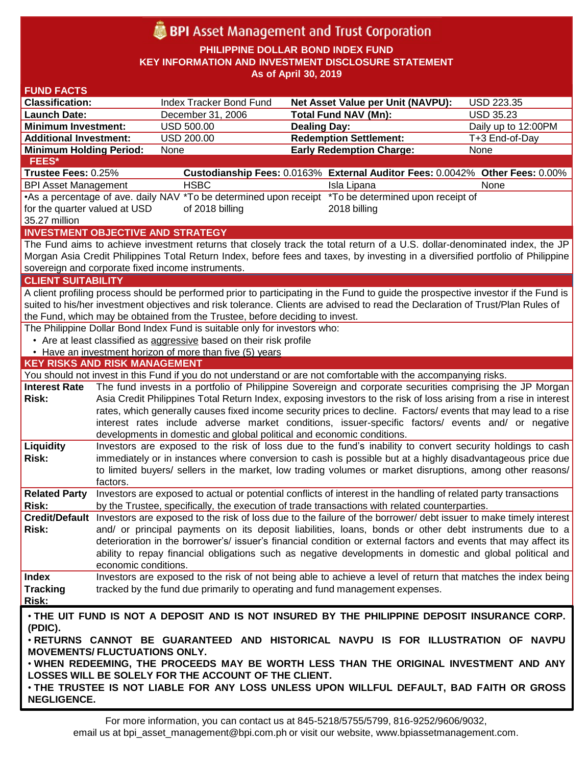# **BPI** Asset Management and Trust Corporation

**PHILIPPINE DOLLAR BOND INDEX FUND KEY INFORMATION AND INVESTMENT DISCLOSURE STATEMENT As of April 30, 2019**

| <b>FUND FACTS</b>                                                                                                                                         |                                                                                                        |                                                                                                                                                                                                                                      |                               |                                                                              |                     |  |  |
|-----------------------------------------------------------------------------------------------------------------------------------------------------------|--------------------------------------------------------------------------------------------------------|--------------------------------------------------------------------------------------------------------------------------------------------------------------------------------------------------------------------------------------|-------------------------------|------------------------------------------------------------------------------|---------------------|--|--|
| <b>Classification:</b>                                                                                                                                    |                                                                                                        | Index Tracker Bond Fund                                                                                                                                                                                                              |                               | <b>Net Asset Value per Unit (NAVPU):</b>                                     | USD 223.35          |  |  |
| <b>Launch Date:</b>                                                                                                                                       |                                                                                                        | December 31, 2006                                                                                                                                                                                                                    | <b>Total Fund NAV (Mn):</b>   |                                                                              | <b>USD 35.23</b>    |  |  |
| <b>Minimum Investment:</b>                                                                                                                                |                                                                                                        | <b>USD 500.00</b>                                                                                                                                                                                                                    | <b>Dealing Day:</b>           |                                                                              | Daily up to 12:00PM |  |  |
| <b>Additional Investment:</b>                                                                                                                             |                                                                                                        | USD 200.00                                                                                                                                                                                                                           | <b>Redemption Settlement:</b> |                                                                              | T+3 End-of-Day      |  |  |
| <b>Minimum Holding Period:</b>                                                                                                                            |                                                                                                        | None                                                                                                                                                                                                                                 |                               | <b>Early Redemption Charge:</b>                                              | None                |  |  |
| FEES*                                                                                                                                                     |                                                                                                        |                                                                                                                                                                                                                                      |                               |                                                                              |                     |  |  |
| Trustee Fees: 0.25%                                                                                                                                       |                                                                                                        |                                                                                                                                                                                                                                      |                               | Custodianship Fees: 0.0163% External Auditor Fees: 0.0042% Other Fees: 0.00% |                     |  |  |
| <b>BPI Asset Management</b>                                                                                                                               |                                                                                                        | <b>HSBC</b>                                                                                                                                                                                                                          |                               | Isla Lipana                                                                  | None                |  |  |
|                                                                                                                                                           | •As a percentage of ave. daily NAV *To be determined upon receipt *To be determined upon receipt of    |                                                                                                                                                                                                                                      |                               |                                                                              |                     |  |  |
|                                                                                                                                                           | for the quarter valued at USD<br>of 2018 billing<br>2018 billing                                       |                                                                                                                                                                                                                                      |                               |                                                                              |                     |  |  |
| 35.27 million                                                                                                                                             |                                                                                                        |                                                                                                                                                                                                                                      |                               |                                                                              |                     |  |  |
|                                                                                                                                                           |                                                                                                        | <b>INVESTMENT OBJECTIVE AND STRATEGY</b>                                                                                                                                                                                             |                               |                                                                              |                     |  |  |
| The Fund aims to achieve investment returns that closely track the total return of a U.S. dollar-denominated index, the JP                                |                                                                                                        |                                                                                                                                                                                                                                      |                               |                                                                              |                     |  |  |
| Morgan Asia Credit Philippines Total Return Index, before fees and taxes, by investing in a diversified portfolio of Philippine                           |                                                                                                        |                                                                                                                                                                                                                                      |                               |                                                                              |                     |  |  |
| sovereign and corporate fixed income instruments.                                                                                                         |                                                                                                        |                                                                                                                                                                                                                                      |                               |                                                                              |                     |  |  |
| <b>CLIENT SUITABILITY</b>                                                                                                                                 |                                                                                                        |                                                                                                                                                                                                                                      |                               |                                                                              |                     |  |  |
| A client profiling process should be performed prior to participating in the Fund to guide the prospective investor if the Fund is                        |                                                                                                        |                                                                                                                                                                                                                                      |                               |                                                                              |                     |  |  |
| suited to his/her investment objectives and risk tolerance. Clients are advised to read the Declaration of Trust/Plan Rules of                            |                                                                                                        |                                                                                                                                                                                                                                      |                               |                                                                              |                     |  |  |
| the Fund, which may be obtained from the Trustee, before deciding to invest.<br>The Philippine Dollar Bond Index Fund is suitable only for investors who: |                                                                                                        |                                                                                                                                                                                                                                      |                               |                                                                              |                     |  |  |
|                                                                                                                                                           |                                                                                                        |                                                                                                                                                                                                                                      |                               |                                                                              |                     |  |  |
|                                                                                                                                                           |                                                                                                        | • Are at least classified as aggressive based on their risk profile<br>• Have an investment horizon of more than five (5) years                                                                                                      |                               |                                                                              |                     |  |  |
| <b>KEY RISKS AND RISK MANAGEMENT</b>                                                                                                                      |                                                                                                        |                                                                                                                                                                                                                                      |                               |                                                                              |                     |  |  |
|                                                                                                                                                           |                                                                                                        | You should not invest in this Fund if you do not understand or are not comfortable with the accompanying risks.                                                                                                                      |                               |                                                                              |                     |  |  |
| <b>Interest Rate</b>                                                                                                                                      |                                                                                                        | The fund invests in a portfolio of Philippine Sovereign and corporate securities comprising the JP Morgan                                                                                                                            |                               |                                                                              |                     |  |  |
| Risk:                                                                                                                                                     |                                                                                                        |                                                                                                                                                                                                                                      |                               |                                                                              |                     |  |  |
|                                                                                                                                                           |                                                                                                        | Asia Credit Philippines Total Return Index, exposing investors to the risk of loss arising from a rise in interest<br>rates, which generally causes fixed income security prices to decline. Factors/ events that may lead to a rise |                               |                                                                              |                     |  |  |
|                                                                                                                                                           |                                                                                                        | interest rates include adverse market conditions, issuer-specific factors/ events and/ or negative                                                                                                                                   |                               |                                                                              |                     |  |  |
|                                                                                                                                                           |                                                                                                        | developments in domestic and global political and economic conditions.                                                                                                                                                               |                               |                                                                              |                     |  |  |
| Liquidity                                                                                                                                                 |                                                                                                        |                                                                                                                                                                                                                                      |                               |                                                                              |                     |  |  |
| Risk:                                                                                                                                                     |                                                                                                        | Investors are exposed to the risk of loss due to the fund's inability to convert security holdings to cash<br>immediately or in instances where conversion to cash is possible but at a highly disadvantageous price due             |                               |                                                                              |                     |  |  |
|                                                                                                                                                           |                                                                                                        | to limited buyers/ sellers in the market, low trading volumes or market disruptions, among other reasons/                                                                                                                            |                               |                                                                              |                     |  |  |
|                                                                                                                                                           | factors.                                                                                               |                                                                                                                                                                                                                                      |                               |                                                                              |                     |  |  |
| <b>Related Party</b>                                                                                                                                      |                                                                                                        | Investors are exposed to actual or potential conflicts of interest in the handling of related party transactions                                                                                                                     |                               |                                                                              |                     |  |  |
| Risk:                                                                                                                                                     |                                                                                                        | by the Trustee, specifically, the execution of trade transactions with related counterparties.                                                                                                                                       |                               |                                                                              |                     |  |  |
|                                                                                                                                                           |                                                                                                        | Credit/Default Investors are exposed to the risk of loss due to the failure of the borrower/debt issuer to make timely interest                                                                                                      |                               |                                                                              |                     |  |  |
| <b>Risk:</b>                                                                                                                                              | and/ or principal payments on its deposit liabilities, loans, bonds or other debt instruments due to a |                                                                                                                                                                                                                                      |                               |                                                                              |                     |  |  |
|                                                                                                                                                           |                                                                                                        | deterioration in the borrower's/ issuer's financial condition or external factors and events that may affect its                                                                                                                     |                               |                                                                              |                     |  |  |
|                                                                                                                                                           |                                                                                                        | ability to repay financial obligations such as negative developments in domestic and global political and                                                                                                                            |                               |                                                                              |                     |  |  |
|                                                                                                                                                           | economic conditions.                                                                                   |                                                                                                                                                                                                                                      |                               |                                                                              |                     |  |  |
| <b>Index</b>                                                                                                                                              |                                                                                                        | Investors are exposed to the risk of not being able to achieve a level of return that matches the index being                                                                                                                        |                               |                                                                              |                     |  |  |
| <b>Tracking</b>                                                                                                                                           |                                                                                                        | tracked by the fund due primarily to operating and fund management expenses.                                                                                                                                                         |                               |                                                                              |                     |  |  |
| Risk:                                                                                                                                                     |                                                                                                        |                                                                                                                                                                                                                                      |                               |                                                                              |                     |  |  |
| . THE UIT FUND IS NOT A DEPOSIT AND IS NOT INSURED BY THE PHILIPPINE DEPOSIT INSURANCE CORP.<br>(PDIC).                                                   |                                                                                                        |                                                                                                                                                                                                                                      |                               |                                                                              |                     |  |  |
| . RETURNS CANNOT BE GUARANTEED AND HISTORICAL NAVPU IS FOR ILLUSTRATION OF NAVPU                                                                          |                                                                                                        |                                                                                                                                                                                                                                      |                               |                                                                              |                     |  |  |
| <b>MOVEMENTS/ FLUCTUATIONS ONLY.</b>                                                                                                                      |                                                                                                        |                                                                                                                                                                                                                                      |                               |                                                                              |                     |  |  |
| . WHEN REDEEMING, THE PROCEEDS MAY BE WORTH LESS THAN THE ORIGINAL INVESTMENT AND ANY                                                                     |                                                                                                        |                                                                                                                                                                                                                                      |                               |                                                                              |                     |  |  |
| LOSSES WILL BE SOLELY FOR THE ACCOUNT OF THE CLIENT.                                                                                                      |                                                                                                        |                                                                                                                                                                                                                                      |                               |                                                                              |                     |  |  |
| . THE TRUSTEE IS NOT LIABLE FOR ANY LOSS UNLESS UPON WILLFUL DEFAULT, BAD FAITH OR GROSS                                                                  |                                                                                                        |                                                                                                                                                                                                                                      |                               |                                                                              |                     |  |  |
| <b>NEGLIGENCE.</b>                                                                                                                                        |                                                                                                        |                                                                                                                                                                                                                                      |                               |                                                                              |                     |  |  |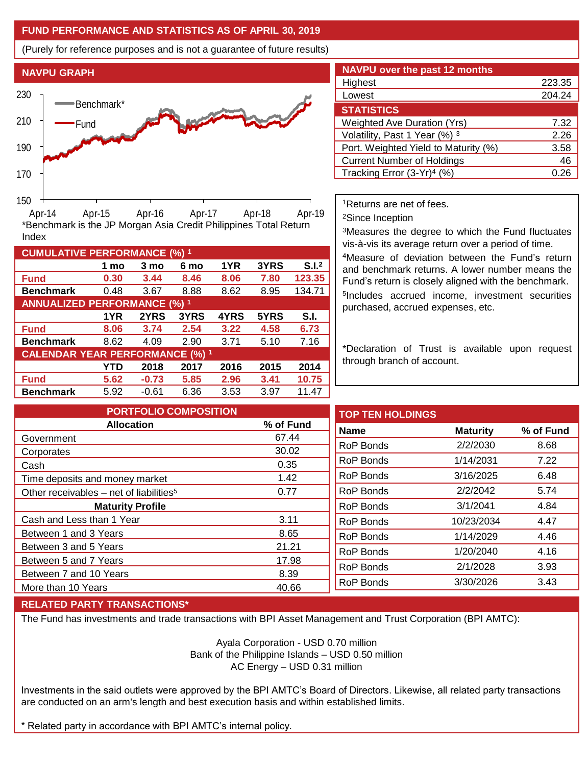## **FUND PERFORMANCE AND STATISTICS AS OF APRIL 30, 2019**

(Purely for reference purposes and is not a guarantee of future results)



**Fund 0.30 3.44 8.46 8.06 7.80 123.35 Benchmark** 0.48 3.67 8.88 8.62 8.95 134.71

\*Benchmark is the JP Morgan Asia Credit Philippines Total Return

**Fund 8.06 3.74 2.54 3.22 4.58 6.73 Benchmark** 8.62 4.09 2.90 3.71 5.10 7.16

**Fund 5.62 -0.73 5.85 2.96 3.41 10.75 Benchmark** 5.92 -0.61 6.36 3.53 3.97 11.47

**1 mo 3 mo 6 mo 1YR 3YRS S.I.<sup>2</sup>**

**1YR 2YRS 3YRS 4YRS 5YRS S.I.**

**YTD 2018 2017 2016 2015 2014**

| <b>NAVPU over the past 12 months</b>   |        |
|----------------------------------------|--------|
| Highest                                | 223.35 |
| Lowest                                 | 204.24 |
| <b>STATISTICS</b>                      |        |
| <b>Weighted Ave Duration (Yrs)</b>     | 7.32   |
| Volatility, Past 1 Year (%) 3          | 2.26   |
| Port. Weighted Yield to Maturity (%)   | 3.58   |
| <b>Current Number of Holdings</b>      | 46     |
| Tracking Error (3-Yr) <sup>4</sup> (%) |        |

<sup>1</sup>Returns are net of fees.

<sup>2</sup>Since Inception

<sup>3</sup>Measures the degree to which the Fund fluctuates vis-à-vis its average return over a period of time.

<sup>4</sup>Measure of deviation between the Fund's return and benchmark returns. A lower number means the Fund's return is closely aligned with the benchmark. 5 Includes accrued income, investment securities purchased, accrued expenses, etc.

\*Declaration of Trust is available upon request through branch of account.

**TOP TEN HOLDINGS Name Maturity % of Fund** RoP Bonds 2/2/2030 8.68 RoP Bonds 1/14/2031 7.22 RoP Bonds 3/16/2025 6.48 RoP Bonds 2/2/2042 5.74 RoP Bonds 3/1/2041 4.84 RoP Bonds 10/23/2034 4.47 RoP Bonds 1/14/2029 4.46 RoP Bonds 1/20/2040 4.16 RoP Bonds 2/1/2028 3.93 RoP Bonds 3/30/2026 3.43 **PORTFOLIO COMPOSITION Allocation % of Fund** Government 67.44 Corporates 30.02 Cash 0.35 Time deposits and money market 1.42 Other receivables – net of liabilities<sup>5</sup>  $0.77$ **Maturity Profile** Cash and Less than 1 Year 3.11 Between 1 and 3 Years 8.65 Between 3 and 5 Years 21.21 Between 5 and 7 Years 17.98 Between 7 and 10 Years 8.39 More than 10 Years 1988 and 10 Years 10 AM and 10 Years 10 AM and 10 AM and 10 AM and 10 AM and 10 AM and 10 AM and 10 AM and 10 AM and 10 AM and 10 AM and 10 AM and 10 AM and 10 AM and 10 AM and 10 AM and 10 AM and 10 AM

## **RELATED PARTY TRANSACTIONS\***

**CUMULATIVE PERFORMANCE (%) <sup>1</sup>**

Index

**ANNUALIZED PERFORMANCE (%) <sup>1</sup>**

**CALENDAR YEAR PERFORMANCE (%) <sup>1</sup>**

The Fund has investments and trade transactions with BPI Asset Management and Trust Corporation (BPI AMTC):

Ayala Corporation - USD 0.70 million Bank of the Philippine Islands – USD 0.50 million AC Energy – USD 0.31 million

Investments in the said outlets were approved by the BPI AMTC's Board of Directors. Likewise, all related party transactions are conducted on an arm's length and best execution basis and within established limits.

\* Related party in accordance with BPI AMTC's internal policy.